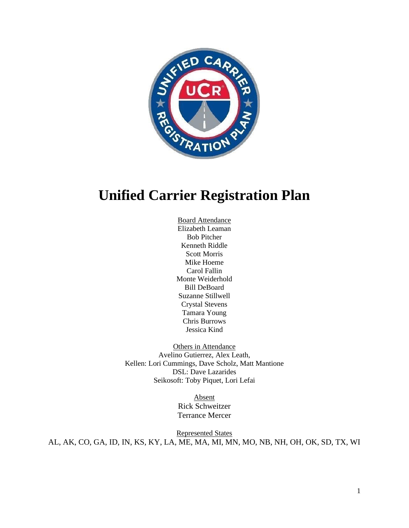

# **Unified Carrier Registration Plan**

Board Attendance Elizabeth Leaman Bob Pitcher Kenneth Riddle Scott Morris Mike Hoeme Carol Fallin Monte Weiderhold Bill DeBoard Suzanne Stillwell Crystal Stevens Tamara Young Chris Burrows Jessica Kind

Others in Attendance Avelino Gutierrez, Alex Leath, Kellen: Lori Cummings, Dave Scholz, Matt Mantione DSL: Dave Lazarides Seikosoft: Toby Piquet, Lori Lefai

> Absent Rick Schweitzer Terrance Mercer

Represented States AL, AK, CO, GA, ID, IN, KS, KY, LA, ME, MA, MI, MN, MO, NB, NH, OH, OK, SD, TX, WI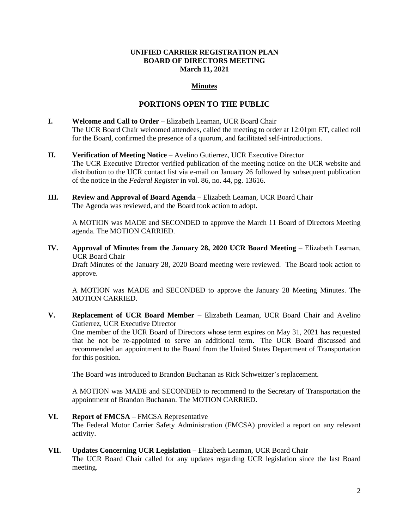#### **UNIFIED CARRIER REGISTRATION PLAN BOARD OF DIRECTORS MEETING March 11, 2021**

## **Minutes**

# **PORTIONS OPEN TO THE PUBLIC**

- **I. Welcome and Call to Order** Elizabeth Leaman, UCR Board Chair The UCR Board Chair welcomed attendees, called the meeting to order at 12:01pm ET, called roll for the Board, confirmed the presence of a quorum, and facilitated self-introductions.
- **II. Verification of Meeting Notice**  Avelino Gutierrez, UCR Executive Director The UCR Executive Director verified publication of the meeting notice on the UCR website and distribution to the UCR contact list via e-mail on January 26 followed by subsequent publication of the notice in the *Federal Register* in vol. 86, no. 44, pg. 13616.
- **III. Review and Approval of Board Agenda** Elizabeth Leaman, UCR Board Chair The Agenda was reviewed, and the Board took action to adopt.

A MOTION was MADE and SECONDED to approve the March 11 Board of Directors Meeting agenda. The MOTION CARRIED.

**IV. Approval of Minutes from the January 28, 2020 UCR Board Meeting** – Elizabeth Leaman, UCR Board Chair

Draft Minutes of the January 28, 2020 Board meeting were reviewed. The Board took action to approve.

A MOTION was MADE and SECONDED to approve the January 28 Meeting Minutes. The MOTION CARRIED.

**V. Replacement of UCR Board Member** – Elizabeth Leaman, UCR Board Chair and Avelino Gutierrez, UCR Executive Director

One member of the UCR Board of Directors whose term expires on May 31, 2021 has requested that he not be re-appointed to serve an additional term. The UCR Board discussed and recommended an appointment to the Board from the United States Department of Transportation for this position.

The Board was introduced to Brandon Buchanan as Rick Schweitzer's replacement.

A MOTION was MADE and SECONDED to recommend to the Secretary of Transportation the appointment of Brandon Buchanan. The MOTION CARRIED.

**VI. Report of FMCSA** – FMCSA Representative

The Federal Motor Carrier Safety Administration (FMCSA) provided a report on any relevant activity.

#### **VII. Updates Concerning UCR Legislation –** Elizabeth Leaman, UCR Board Chair

The UCR Board Chair called for any updates regarding UCR legislation since the last Board meeting.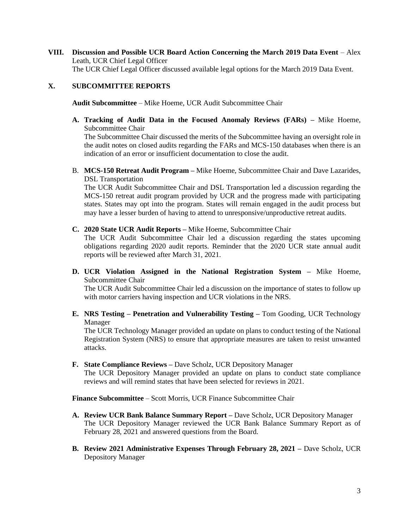**VIII. Discussion and Possible UCR Board Action Concerning the March 2019 Data Event** – Alex Leath, UCR Chief Legal Officer The UCR Chief Legal Officer discussed available legal options for the March 2019 Data Event.

## **X. SUBCOMMITTEE REPORTS**

**Audit Subcommittee** – Mike Hoeme, UCR Audit Subcommittee Chair

**A. Tracking of Audit Data in the Focused Anomaly Reviews (FARs) –** Mike Hoeme, Subcommittee Chair

The Subcommittee Chair discussed the merits of the Subcommittee having an oversight role in the audit notes on closed audits regarding the FARs and MCS-150 databases when there is an indication of an error or insufficient documentation to close the audit.

B. **MCS-150 Retreat Audit Program –** Mike Hoeme, Subcommittee Chair and Dave Lazarides, DSL Transportation

The UCR Audit Subcommittee Chair and DSL Transportation led a discussion regarding the MCS-150 retreat audit program provided by UCR and the progress made with participating states. States may opt into the program. States will remain engaged in the audit process but may have a lesser burden of having to attend to unresponsive/unproductive retreat audits.

**C. 2020 State UCR Audit Reports –** Mike Hoeme, Subcommittee Chair

The UCR Audit Subcommittee Chair led a discussion regarding the states upcoming obligations regarding 2020 audit reports. Reminder that the 2020 UCR state annual audit reports will be reviewed after March 31, 2021.

**D. UCR Violation Assigned in the National Registration System –** Mike Hoeme, Subcommittee Chair

The UCR Audit Subcommittee Chair led a discussion on the importance of states to follow up with motor carriers having inspection and UCR violations in the NRS.

**E. NRS Testing – Penetration and Vulnerability Testing –** Tom Gooding, UCR Technology Manager

The UCR Technology Manager provided an update on plans to conduct testing of the National Registration System (NRS) to ensure that appropriate measures are taken to resist unwanted attacks.

**F. State Compliance Reviews –** Dave Scholz, UCR Depository Manager

The UCR Depository Manager provided an update on plans to conduct state compliance reviews and will remind states that have been selected for reviews in 2021.

**Finance Subcommittee** – Scott Morris, UCR Finance Subcommittee Chair

- **A. Review UCR Bank Balance Summary Report –** Dave Scholz, UCR Depository Manager The UCR Depository Manager reviewed the UCR Bank Balance Summary Report as of February 28, 2021 and answered questions from the Board.
- **B. Review 2021 Administrative Expenses Through February 28, 2021 –** Dave Scholz, UCR Depository Manager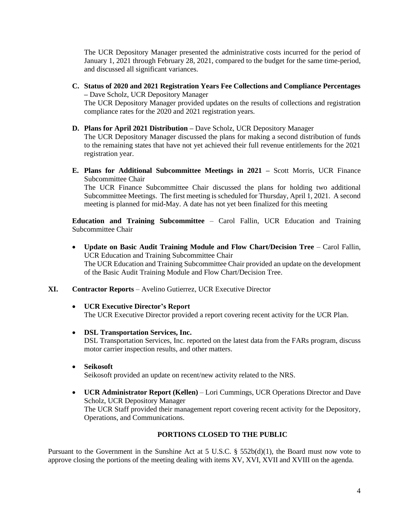The UCR Depository Manager presented the administrative costs incurred for the period of January 1, 2021 through February 28, 2021, compared to the budget for the same time-period, and discussed all significant variances.

**C. Status of 2020 and 2021 Registration Years Fee Collections and Compliance Percentages –** Dave Scholz, UCR Depository Manager

The UCR Depository Manager provided updates on the results of collections and registration compliance rates for the 2020 and 2021 registration years.

- **D. Plans for April 2021 Distribution –** Dave Scholz, UCR Depository Manager The UCR Depository Manager discussed the plans for making a second distribution of funds to the remaining states that have not yet achieved their full revenue entitlements for the 2021 registration year.
- **E. Plans for Additional Subcommittee Meetings in 2021 –** Scott Morris, UCR Finance Subcommittee Chair

The UCR Finance Subcommittee Chair discussed the plans for holding two additional Subcommittee Meetings. The first meeting is scheduled for Thursday, April 1, 2021. A second meeting is planned for mid-May. A date has not yet been finalized for this meeting

**Education and Training Subcommittee** – Carol Fallin, UCR Education and Training Subcommittee Chair

- **Update on Basic Audit Training Module and Flow Chart/Decision Tree** Carol Fallin, UCR Education and Training Subcommittee Chair The UCR Education and Training Subcommittee Chair provided an update on the development of the Basic Audit Training Module and Flow Chart/Decision Tree.
- **XI. Contractor Reports** Avelino Gutierrez, UCR Executive Director
	- **UCR Executive Director's Report** The UCR Executive Director provided a report covering recent activity for the UCR Plan.
	- **DSL Transportation Services, Inc.**

DSL Transportation Services, Inc. reported on the latest data from the FARs program, discuss motor carrier inspection results, and other matters.

• **Seikosoft** 

Seikosoft provided an update on recent/new activity related to the NRS.

• **UCR Administrator Report (Kellen)** – Lori Cummings, UCR Operations Director and Dave Scholz, UCR Depository Manager The UCR Staff provided their management report covering recent activity for the Depository, Operations, and Communications.

# **PORTIONS CLOSED TO THE PUBLIC**

Pursuant to the Government in the Sunshine Act at 5 U.S.C.  $\S$  552b(d)(1), the Board must now vote to approve closing the portions of the meeting dealing with items XV, XVI, XVII and XVIII on the agenda.